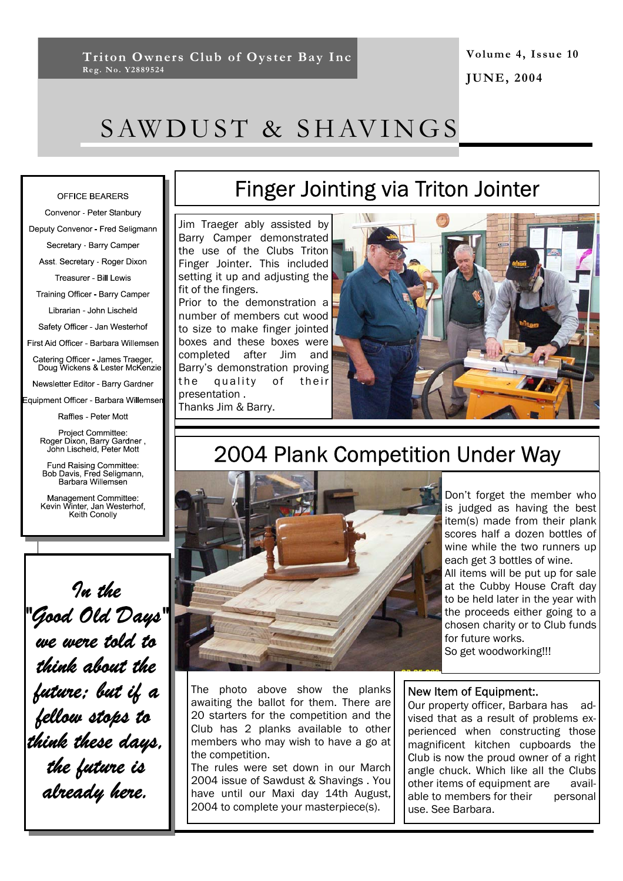**Volume 4, Issue 10 JUNE, 2004** 

# SAWDUST & SHAVINGS

### OFFICE BEARERS

Convenor - Peter Stanbury Deputy Convenor - Fred Seligmann Secretary - Barry Camper Asst. Secretary - Roger Dixon Treasurer - Bill Lewis Training Officer - Barry Camper Librarian - John Lischeld Safety Officer - Jan Westerhof First Aid Officer - Barbara Willemsen Catering Officer - James Traeger,<br>Doug Wickens & Lester McKenzie Newsletter Editor - Barry Gardner Equipment Officer - Barbara Willemser

Raffles - Peter Mott

Project Committee: Project Committee.<br>, Roger Dixon, Barry Gardner<br>John Lischeld, Peter Mott

Fund Raising Committee:<br>Bob Davis, Fred Seligmann, Barbara Willemsen

Management Committee:<br>Kevin Winter, Jan Westerhof,<br>Keith Conolly

In the

.<br>we were told to

think about the

future: but if a

.<br>fellow stops to

think these days.

the future is<br>already here.

# Finger Jointing via Triton Jointer

Jim Traeger ably assisted by Barry Camper demonstrated the use of the Clubs Triton Finger Jointer. This included setting it up and adjusting the fit of the fingers.

Prior to the demonstration a number of members cut wood to size to make finger jointed boxes and these boxes were completed after Jim and Barry's demonstration proving the quality of their presentation .

Thanks Jim & Barry.



# 2004 Plank Competition Under Way



Don't forget the member who is judged as having the best item(s) made from their plank scores half a dozen bottles of wine while the two runners up each get 3 bottles of wine. All items will be put up for sale at the Cubby House Craft day to be held later in the year with the proceeds either going to a chosen charity or to Club funds for future works. So get woodworking!!!

The photo above show the planks awaiting the ballot for them. There are 20 starters for the competition and the Club has 2 planks available to other members who may wish to have a go at the competition.

The rules were set down in our March 2004 issue of Sawdust & Shavings . You have until our Maxi day 14th August, 2004 to complete your masterpiece(s).

## New Item of Equipment:.

Our property officer, Barbara has advised that as a result of problems experienced when constructing those magnificent kitchen cupboards the Club is now the proud owner of a right angle chuck. Which like all the Clubs other items of equipment are available to members for their personal use. See Barbara.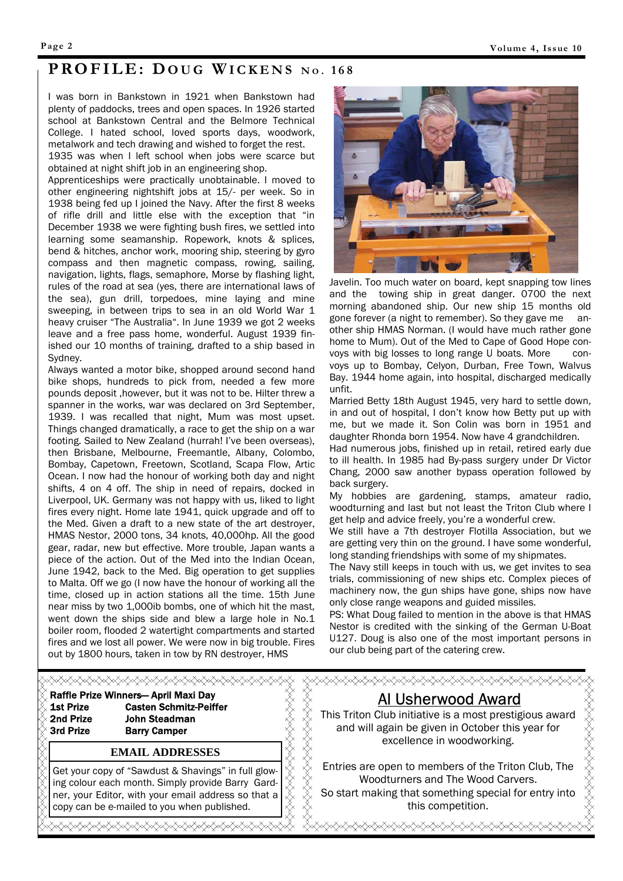## **PROFILE: DOUG WICKENS** No. 168

I was born in Bankstown in 1921 when Bankstown had plenty of paddocks, trees and open spaces. In 1926 started school at Bankstown Central and the Belmore Technical College. I hated school, loved sports days, woodwork, metalwork and tech drawing and wished to forget the rest.

1935 was when I left school when jobs were scarce but obtained at night shift job in an engineering shop.

Apprenticeships were practically unobtainable. I moved to other engineering nightshift jobs at 15/- per week. So in 1938 being fed up I joined the Navy. After the first 8 weeks of rifle drill and little else with the exception that "in December 1938 we were fighting bush fires, we settled into learning some seamanship. Ropework, knots & splices, bend & hitches, anchor work, mooring ship, steering by gyro compass and then magnetic compass, rowing, sailing, navigation, lights, flags, semaphore, Morse by flashing light, rules of the road at sea (yes, there are international laws of the sea), gun drill, torpedoes, mine laying and mine sweeping, in between trips to sea in an old World War 1 heavy cruiser "The Australia". In June 1939 we got 2 weeks leave and a free pass home, wonderful. August 1939 finished our 10 months of training, drafted to a ship based in Sydney.

Always wanted a motor bike, shopped around second hand bike shops, hundreds to pick from, needed a few more pounds deposit ,however, but it was not to be. Hilter threw a spanner in the works, war was declared on 3rd September, 1939. I was recalled that night, Mum was most upset. Things changed dramatically, a race to get the ship on a war footing. Sailed to New Zealand (hurrah! I've been overseas), then Brisbane, Melbourne, Freemantle, Albany, Colombo, Bombay, Capetown, Freetown, Scotland, Scapa Flow, Artic Ocean. I now had the honour of working both day and night shifts, 4 on 4 off. The ship in need of repairs, docked in Liverpool, UK. Germany was not happy with us, liked to light fires every night. Home late 1941, quick upgrade and off to the Med. Given a draft to a new state of the art destroyer, HMAS Nestor, 2000 tons, 34 knots, 40,000hp. All the good gear, radar, new but effective. More trouble, Japan wants a piece of the action. Out of the Med into the Indian Ocean, June 1942, back to the Med. Big operation to get supplies to Malta. Off we go (I now have the honour of working all the time, closed up in action stations all the time. 15th June near miss by two 1,000ib bombs, one of which hit the mast, went down the ships side and blew a large hole in No.1 boiler room, flooded 2 watertight compartments and started fires and we lost all power. We were now in big trouble. Fires out by 1800 hours, taken in tow by RN destroyer, HMS



Javelin. Too much water on board, kept snapping tow lines and the towing ship in great danger. 0700 the next morning abandoned ship. Our new ship 15 months old gone forever (a night to remember). So they gave me another ship HMAS Norman. (I would have much rather gone home to Mum). Out of the Med to Cape of Good Hope convoys with big losses to long range U boats. More convoys up to Bombay, Celyon, Durban, Free Town, Walvus Bay. 1944 home again, into hospital, discharged medically unfit.

Married Betty 18th August 1945, very hard to settle down, in and out of hospital, I don't know how Betty put up with me, but we made it. Son Colin was born in 1951 and daughter Rhonda born 1954. Now have 4 grandchildren.

Had numerous jobs, finished up in retail, retired early due to ill health. In 1985 had By-pass surgery under Dr Victor Chang, 2000 saw another bypass operation followed by back surgery.

My hobbies are gardening, stamps, amateur radio, woodturning and last but not least the Triton Club where I get help and advice freely, you're a wonderful crew.

We still have a 7th destroyer Flotilla Association, but we are getting very thin on the ground. I have some wonderful, long standing friendships with some of my shipmates.

The Navy still keeps in touch with us, we get invites to sea trials, commissioning of new ships etc. Complex pieces of machinery now, the gun ships have gone, ships now have only close range weapons and guided missiles.

PS: What Doug failed to mention in the above is that HMAS Nestor is credited with the sinking of the German U-Boat U127. Doug is also one of the most important persons in our club being part of the catering crew.

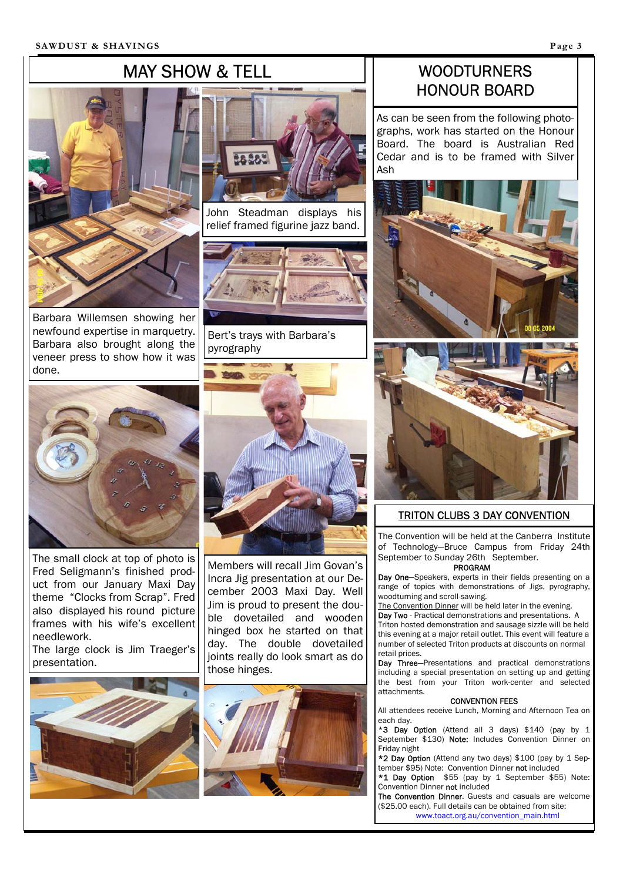# MAY SHOW & TELL



Barbara Willemsen showing her newfound expertise in marquetry. Barbara also brought along the veneer press to show how it was

done.



John Steadman displays his relief framed figurine jazz band.



Bert's trays with Barbara's pyrography



The small clock at top of photo is Fred Seligmann's finished product from our January Maxi Day theme "Clocks from Scrap". Fred also displayed his round picture frames with his wife's excellent needlework.

The large clock is Jim Traeger's presentation.





Members will recall Jim Govan's Incra Jig presentation at our December 2003 Maxi Day. Well Jim is proud to present the double dovetailed and wooden hinged box he started on that day. The double dovetailed joints really do look smart as do those hinges.



## WOODTURNERS HONOUR BOARD

As can be seen from the following photographs, work has started on the Honour Board. The board is Australian Red Cedar and is to be framed with Silver Ash





## TRITON CLUBS 3 DAY CONVENTION

The Convention will be held at the Canberra Institute of Technology—Bruce Campus from Friday 24th September to Sunday 26th September.

### PROGRAM

Day One-Speakers, experts in their fields presenting on a range of topics with demonstrations of Jigs, pyrography, woodturning and scroll-sawing.

The Convention Dinner will be held later in the evening.

Day Two - Practical demonstrations and presentations. A Triton hosted demonstration and sausage sizzle will be held this evening at a major retail outlet. This event will feature a number of selected Triton products at discounts on normal retail prices.

Day Three-Presentations and practical demonstrations including a special presentation on setting up and getting the best from your Triton work-center and selected attachments.

#### CONVENTION FEES

All attendees receive Lunch, Morning and Afternoon Tea on each day.

\*3 Day Option (Attend all 3 days) \$140 (pay by 1 September \$130) Note: Includes Convention Dinner on Friday night

\*2 Day Option (Attend any two days) \$100 (pay by 1 September \$95) Note: Convention Dinner not included

\*1 Day Option \$55 (pay by 1 September \$55) Note: Convention Dinner not included

The Convention Dinner. Guests and casuals are welcome (\$25.00 each). Full details can be obtained from site: www.toact.org.au/convention\_main.html